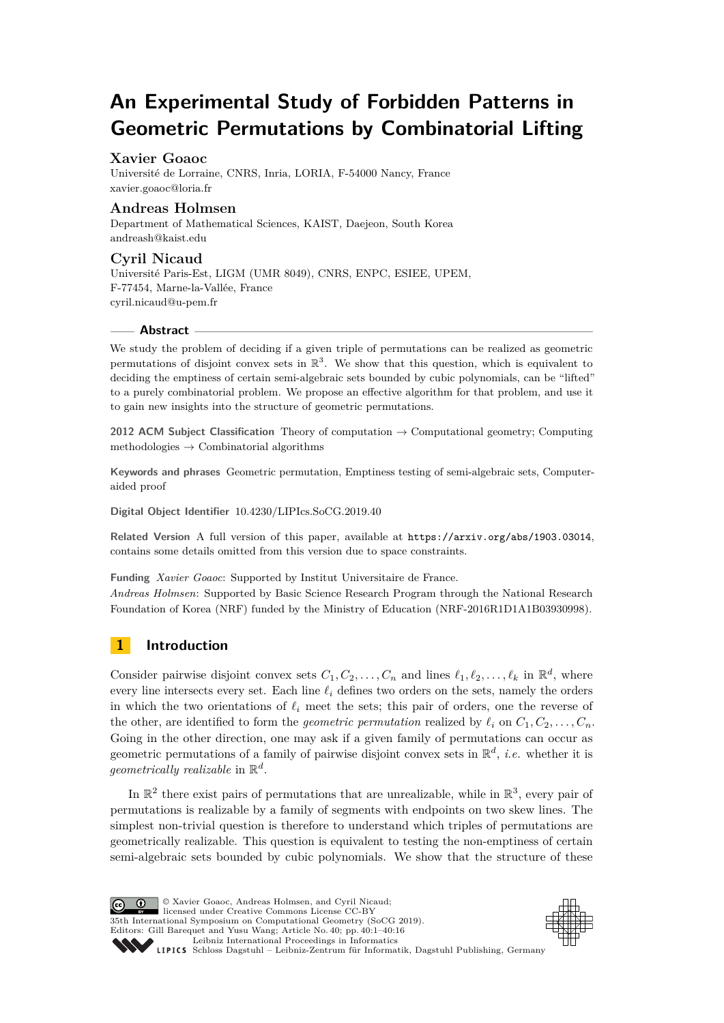# **An Experimental Study of Forbidden Patterns in Geometric Permutations by Combinatorial Lifting**

# **Xavier Goaoc**

Université de Lorraine, CNRS, Inria, LORIA, F-54000 Nancy, France [xavier.goaoc@loria.fr](mailto:xavier.goaoc@loria.fr)

## **Andreas Holmsen**

Department of Mathematical Sciences, KAIST, Daejeon, South Korea [andreash@kaist.edu](mailto:andreash@kaist.edu)

# **Cyril Nicaud**

Université Paris-Est, LIGM (UMR 8049), CNRS, ENPC, ESIEE, UPEM, F-77454, Marne-la-Vallée, France [cyril.nicaud@u-pem.fr](mailto:cyril.nicaud@u-pem.fr)

## **Abstract**

We study the problem of deciding if a given triple of permutations can be realized as geometric permutations of disjoint convex sets in  $\mathbb{R}^3$ . We show that this question, which is equivalent to deciding the emptiness of certain semi-algebraic sets bounded by cubic polynomials, can be "lifted" to a purely combinatorial problem. We propose an effective algorithm for that problem, and use it to gain new insights into the structure of geometric permutations.

**2012 ACM Subject Classification** Theory of computation → Computational geometry; Computing methodologies  $\rightarrow$  Combinatorial algorithms

**Keywords and phrases** Geometric permutation, Emptiness testing of semi-algebraic sets, Computeraided proof

**Digital Object Identifier** [10.4230/LIPIcs.SoCG.2019.40](https://doi.org/10.4230/LIPIcs.SoCG.2019.40)

**Related Version** A full version of this paper, available at <https://arxiv.org/abs/1903.03014>, contains some details omitted from this version due to space constraints.

**Funding** *Xavier Goaoc*: Supported by Institut Universitaire de France. *Andreas Holmsen*: Supported by Basic Science Research Program through the National Research Foundation of Korea (NRF) funded by the Ministry of Education (NRF-2016R1D1A1B03930998).

# **1 Introduction**

Consider pairwise disjoint convex sets  $C_1, C_2, \ldots, C_n$  and lines  $\ell_1, \ell_2, \ldots, \ell_k$  in  $\mathbb{R}^d$ , where every line intersects every set. Each line  $\ell_i$  defines two orders on the sets, namely the orders in which the two orientations of  $\ell_i$  meet the sets; this pair of orders, one the reverse of the other, are identified to form the *geometric permutation* realized by  $\ell_i$  on  $C_1, C_2, \ldots, C_n$ . Going in the other direction, one may ask if a given family of permutations can occur as geometric permutations of a family of pairwise disjoint convex sets in  $\mathbb{R}^d$ , *i.e.* whether it is *geometrically realizable* in R *d* .

In  $\mathbb{R}^2$  there exist pairs of permutations that are unrealizable, while in  $\mathbb{R}^3$ , every pair of permutations is realizable by a family of segments with endpoints on two skew lines. The simplest non-trivial question is therefore to understand which triples of permutations are geometrically realizable. This question is equivalent to testing the non-emptiness of certain semi-algebraic sets bounded by cubic polynomials. We show that the structure of these

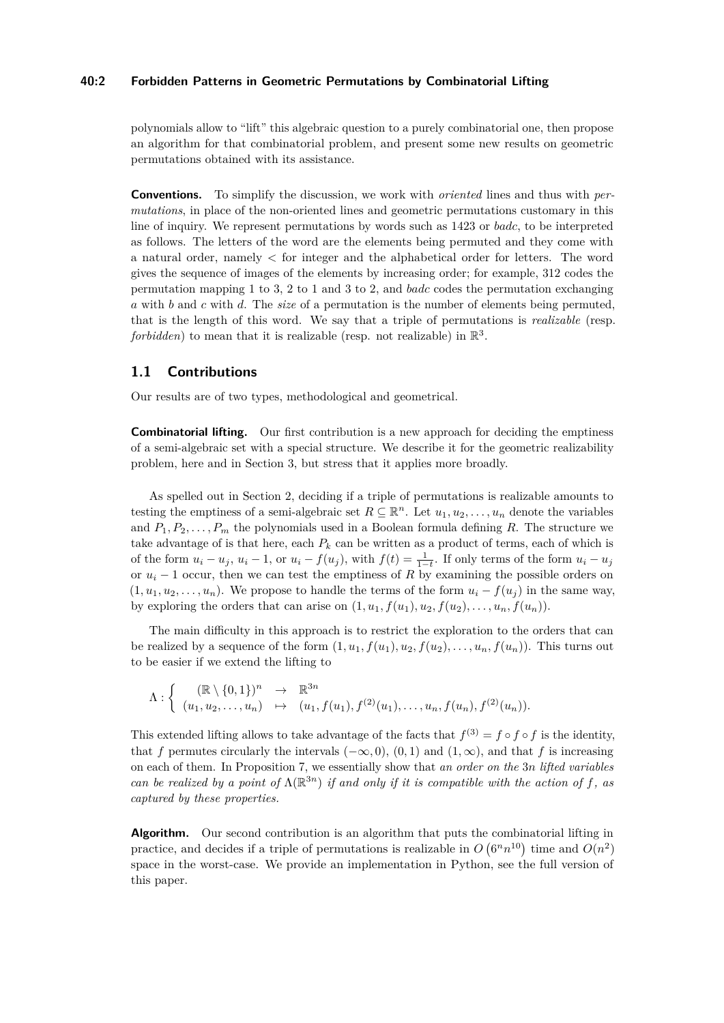#### **40:2 Forbidden Patterns in Geometric Permutations by Combinatorial Lifting**

polynomials allow to "lift" this algebraic question to a purely combinatorial one, then propose an algorithm for that combinatorial problem, and present some new results on geometric permutations obtained with its assistance.

**Conventions.** To simplify the discussion, we work with *oriented* lines and thus with *permutations*, in place of the non-oriented lines and geometric permutations customary in this line of inquiry. We represent permutations by words such as 1423 or *badc*, to be interpreted as follows. The letters of the word are the elements being permuted and they come with a natural order, namely *<* for integer and the alphabetical order for letters. The word gives the sequence of images of the elements by increasing order; for example, 312 codes the permutation mapping 1 to 3, 2 to 1 and 3 to 2, and *badc* codes the permutation exchanging *a* with *b* and *c* with *d*. The *size* of a permutation is the number of elements being permuted, that is the length of this word. We say that a triple of permutations is *realizable* (resp. *forbidden*) to mean that it is realizable (resp. not realizable) in  $\mathbb{R}^3$ .

# **1.1 Contributions**

Our results are of two types, methodological and geometrical.

**Combinatorial lifting.** Our first contribution is a new approach for deciding the emptiness of a semi-algebraic set with a special structure. We describe it for the geometric realizability problem, here and in Section [3,](#page-6-0) but stress that it applies more broadly.

As spelled out in Section [2,](#page-4-0) deciding if a triple of permutations is realizable amounts to testing the emptiness of a semi-algebraic set  $R \subseteq \mathbb{R}^n$ . Let  $u_1, u_2, \ldots, u_n$  denote the variables and  $P_1, P_2, \ldots, P_m$  the polynomials used in a Boolean formula defining R. The structure we take advantage of is that here, each  $P_k$  can be written as a product of terms, each of which is of the form  $u_i - u_j$ ,  $u_i - 1$ , or  $u_i - f(u_j)$ , with  $f(t) = \frac{1}{1-t}$ . If only terms of the form  $u_i - u_j$ or  $u_i$  − 1 occur, then we can test the emptiness of R by examining the possible orders on  $(1, u_1, u_2, \ldots, u_n)$ . We propose to handle the terms of the form  $u_i - f(u_j)$  in the same way, by exploring the orders that can arise on  $(1, u_1, f(u_1), u_2, f(u_2), \ldots, u_n, f(u_n))$ .

The main difficulty in this approach is to restrict the exploration to the orders that can be realized by a sequence of the form  $(1, u_1, f(u_1), u_2, f(u_2), \ldots, u_n, f(u_n))$ . This turns out to be easier if we extend the lifting to

 $\Lambda: \left\{ \begin{array}{ccc} (\mathbb{R}\setminus\{0,1\})^n & \to & \mathbb{R}^{3n} \end{array} \right.$  $(u_1, u_2, \ldots, u_n) \rightarrow (u_1, f(u_1), f^{(2)}(u_1), \ldots, u_n, f(u_n), f^{(2)}(u_n)).$ 

This extended lifting allows to take advantage of the facts that  $f^{(3)} = f \circ f \circ f$  is the identity, that *f* permutes circularly the intervals  $(-\infty, 0)$ ,  $(0, 1)$  and  $(1, \infty)$ , and that *f* is increasing on each of them. In Proposition [7,](#page-8-0) we essentially show that *an order on the* 3*n lifted variables can be realized by a point of*  $\Lambda(\mathbb{R}^{3n})$  *if and only if it is compatible with the action of f, as captured by these properties.*

**Algorithm.** Our second contribution is an algorithm that puts the combinatorial lifting in practice, and decides if a triple of permutations is realizable in  $O(6^n n^{10})$  time and  $O(n^2)$ space in the worst-case. We provide an implementation in Python, see the full version of this paper.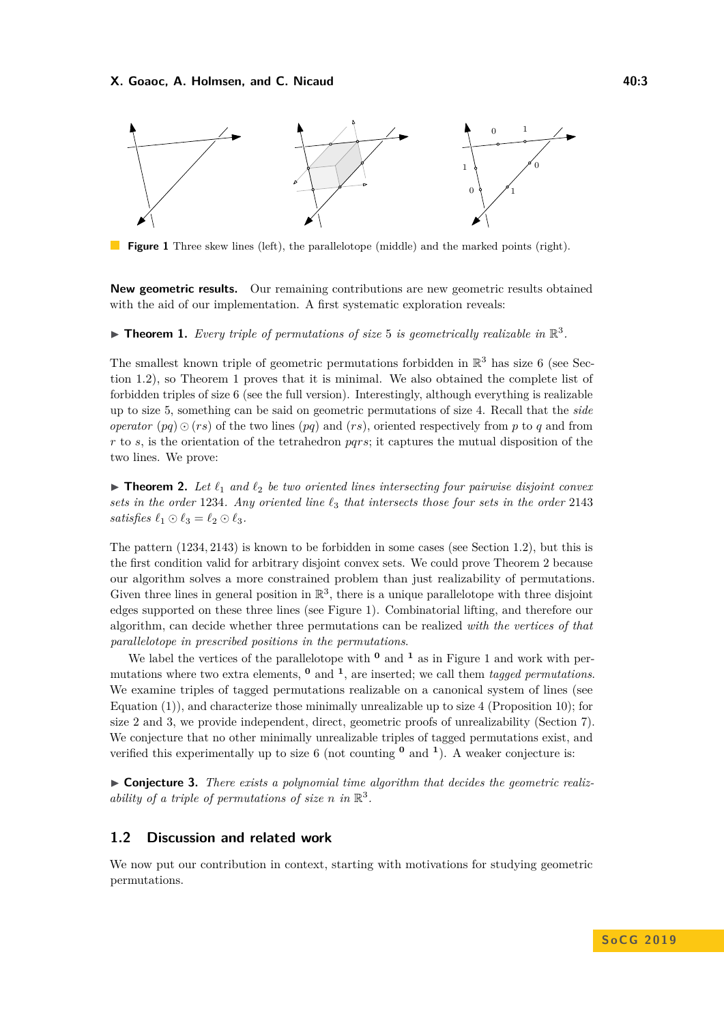#### **X. Goaoc, A. Holmsen, and C. Nicaud 40:3 All and 40:3 40:3**

<span id="page-2-3"></span>

**Figure 1** Three skew lines (left), the parallelotope (middle) and the marked points (right).

**New geometric results.** Our remaining contributions are new geometric results obtained with the aid of our implementation. A first systematic exploration reveals:

<span id="page-2-1"></span> $\blacktriangleright$  **Theorem 1.** Every triple of permutations of size 5 is geometrically realizable in  $\mathbb{R}^3$ .

The smallest known triple of geometric permutations forbidden in  $\mathbb{R}^3$  has size 6 (see Section [1.2\)](#page-2-0), so Theorem [1](#page-2-1) proves that it is minimal. We also obtained the complete list of forbidden triples of size 6 (see the full version). Interestingly, although everything is realizable up to size 5, something can be said on geometric permutations of size 4. Recall that the *side operator*  $(pq) \odot (rs)$  of the two lines  $(pq)$  and  $(rs)$ , oriented respectively from *p* to *q* and from *r* to *s*, is the orientation of the tetrahedron *pqrs*; it captures the mutual disposition of the two lines. We prove:

<span id="page-2-2"></span>**Figure 1.** Let  $\ell_1$  and  $\ell_2$  be two oriented lines intersecting four pairwise disjoint convex *sets in the order* 1234*. Any oriented line `*<sup>3</sup> *that intersects those four sets in the order* 2143 *satisfies*  $\ell_1 \odot \ell_3 = \ell_2 \odot \ell_3$ .

The pattern (1234*,* 2143) is known to be forbidden in some cases (see Section [1.2\)](#page-2-0), but this is the first condition valid for arbitrary disjoint convex sets. We could prove Theorem [2](#page-2-2) because our algorithm solves a more constrained problem than just realizability of permutations. Given three lines in general position in  $\mathbb{R}^3$ , there is a unique parallelotope with three disjoint edges supported on these three lines (see Figure [1\)](#page-2-3). Combinatorial lifting, and therefore our algorithm, can decide whether three permutations can be realized *with the vertices of that parallelotope in prescribed positions in the permutations*.

We label the vertices of the parallelotope with  $\theta$  and  $\theta$  as in Figure [1](#page-2-3) and work with permutations where two extra elements, **<sup>0</sup>** and **<sup>1</sup>** , are inserted; we call them *tagged permutations*. We examine triples of tagged permutations realizable on a canonical system of lines (see Equation  $(1)$ ), and characterize those minimally unrealizable up to size 4 (Proposition [10\)](#page-12-0); for size 2 and 3, we provide independent, direct, geometric proofs of unrealizability (Section [7\)](#page-13-0). We conjecture that no other minimally unrealizable triples of tagged permutations exist, and verified this experimentally up to size 6 (not counting **<sup>0</sup>** and **<sup>1</sup>** ). A weaker conjecture is:

<span id="page-2-4"></span>▶ Conjecture 3. There exists a polynomial time algorithm that decides the geometric realiz*ability of a triple of permutations of size n in*  $\mathbb{R}^3$ .

## <span id="page-2-0"></span>**1.2 Discussion and related work**

We now put our contribution in context, starting with motivations for studying geometric permutations.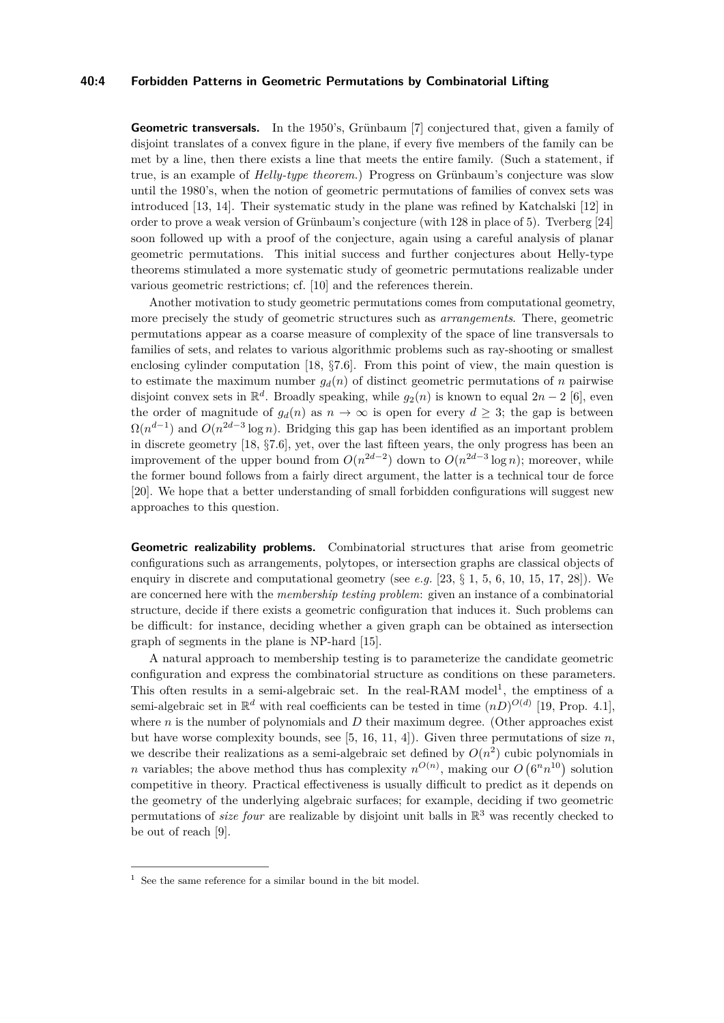#### **40:4 Forbidden Patterns in Geometric Permutations by Combinatorial Lifting**

**Geometric transversals.** In the 1950's, Grünbaum [\[7\]](#page-14-0) conjectured that, given a family of disjoint translates of a convex figure in the plane, if every five members of the family can be met by a line, then there exists a line that meets the entire family. (Such a statement, if true, is an example of *Helly-type theorem*.) Progress on Grünbaum's conjecture was slow until the 1980's, when the notion of geometric permutations of families of convex sets was introduced [\[13,](#page-14-1) [14\]](#page-14-2). Their systematic study in the plane was refined by Katchalski [\[12\]](#page-14-3) in order to prove a weak version of Grünbaum's conjecture (with 128 in place of 5). Tverberg [\[24\]](#page-15-1) soon followed up with a proof of the conjecture, again using a careful analysis of planar geometric permutations. This initial success and further conjectures about Helly-type theorems stimulated a more systematic study of geometric permutations realizable under various geometric restrictions; cf. [\[10\]](#page-14-4) and the references therein.

Another motivation to study geometric permutations comes from computational geometry, more precisely the study of geometric structures such as *arrangements*. There, geometric permutations appear as a coarse measure of complexity of the space of line transversals to families of sets, and relates to various algorithmic problems such as ray-shooting or smallest enclosing cylinder computation [\[18,](#page-14-5) §7*.*6]. From this point of view, the main question is to estimate the maximum number  $g_d(n)$  of distinct geometric permutations of *n* pairwise disjoint convex sets in  $\mathbb{R}^d$ . Broadly speaking, while  $g_2(n)$  is known to equal  $2n-2$  [\[6\]](#page-14-6), even the order of magnitude of  $q_d(n)$  as  $n \to \infty$  is open for every  $d > 3$ ; the gap is between  $\Omega(n^{d-1})$  and  $O(n^{2d-3}\log n)$ . Bridging this gap has been identified as an important problem in discrete geometry [\[18,](#page-14-5) §7*.*6], yet, over the last fifteen years, the only progress has been an improvement of the upper bound from  $O(n^{2d-2})$  down to  $O(n^{2d-3}\log n)$ ; moreover, while the former bound follows from a fairly direct argument, the latter is a technical tour de force [\[20\]](#page-14-7). We hope that a better understanding of small forbidden configurations will suggest new approaches to this question.

**Geometric realizability problems.** Combinatorial structures that arise from geometric configurations such as arrangements, polytopes, or intersection graphs are classical objects of enquiry in discrete and computational geometry (see *e.g.* [\[23,](#page-15-2)  $\S$  1, 5, 6, 10, 15, 17, 28]). We are concerned here with the *membership testing problem*: given an instance of a combinatorial structure, decide if there exists a geometric configuration that induces it. Such problems can be difficult: for instance, deciding whether a given graph can be obtained as intersection graph of segments in the plane is NP-hard [\[15\]](#page-14-8).

A natural approach to membership testing is to parameterize the candidate geometric configuration and express the combinatorial structure as conditions on these parameters. This often results in a semi-algebraic set. In the real-RAM model<sup>[1](#page-3-0)</sup>, the emptiness of a semi-algebraic set in  $\mathbb{R}^d$  with real coefficients can be tested in time  $(nD)^{O(d)}$  [\[19,](#page-14-9) Prop. 4.1], where  $n$  is the number of polynomials and  $D$  their maximum degree. (Other approaches exist but have worse complexity bounds, see  $[5, 16, 11, 4]$  $[5, 16, 11, 4]$  $[5, 16, 11, 4]$  $[5, 16, 11, 4]$  $[5, 16, 11, 4]$  $[5, 16, 11, 4]$  $[5, 16, 11, 4]$ . Given three permutations of size *n*, we describe their realizations as a semi-algebraic set defined by  $O(n^2)$  cubic polynomials in *n* variables; the above method thus has complexity  $n^{O(n)}$ , making our  $O(6^n n^{10})$  solution competitive in theory. Practical effectiveness is usually difficult to predict as it depends on the geometry of the underlying algebraic surfaces; for example, deciding if two geometric permutations of *size four* are realizable by disjoint unit balls in R <sup>3</sup> was recently checked to be out of reach [\[9\]](#page-14-14).

<span id="page-3-0"></span> $1$  See the same reference for a similar bound in the bit model.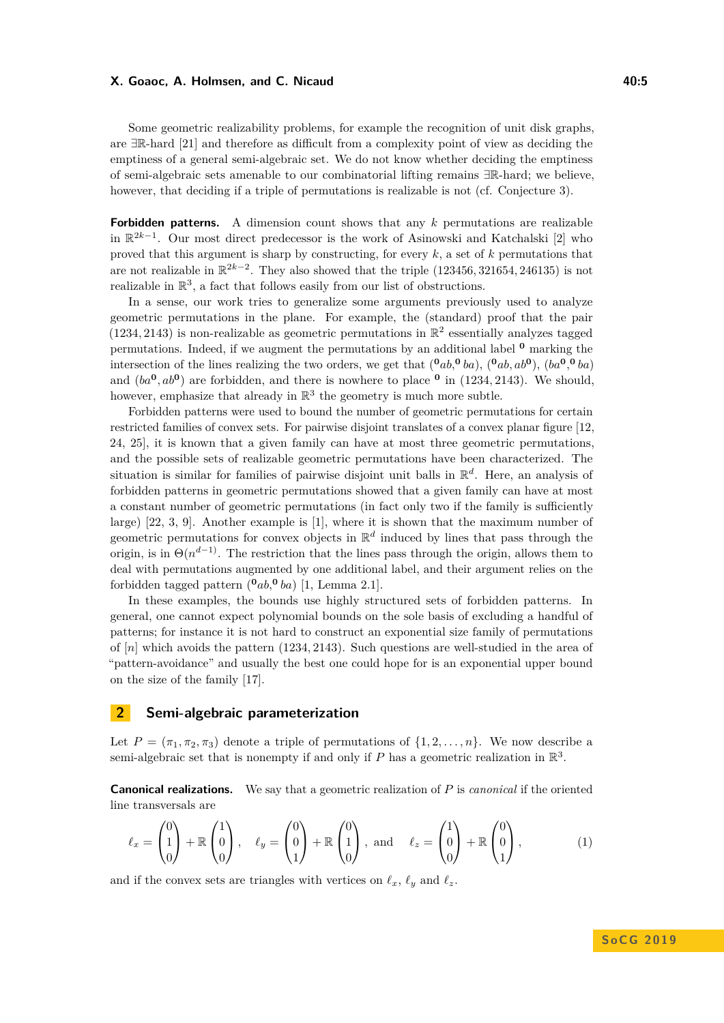#### **X. Goaoc, A. Holmsen, and C. Nicaud 40:5**

Some geometric realizability problems, for example the recognition of unit disk graphs, are ∃R-hard [\[21\]](#page-14-15) and therefore as difficult from a complexity point of view as deciding the emptiness of a general semi-algebraic set. We do not know whether deciding the emptiness of semi-algebraic sets amenable to our combinatorial lifting remains ∃R-hard; we believe, however, that deciding if a triple of permutations is realizable is not (cf. Conjecture [3\)](#page-2-4).

**Forbidden patterns.** A dimension count shows that any *k* permutations are realizable in R 2*k*−1 . Our most direct predecessor is the work of Asinowski and Katchalski [\[2\]](#page-14-16) who proved that this argument is sharp by constructing, for every *k*, a set of *k* permutations that are not realizable in R 2*k*−2 . They also showed that the triple (123456*,* 321654*,* 246135) is not realizable in  $\mathbb{R}^3$ , a fact that follows easily from our list of obstructions.

In a sense, our work tries to generalize some arguments previously used to analyze geometric permutations in the plane. For example, the (standard) proof that the pair  $(1234, 2143)$  is non-realizable as geometric permutations in  $\mathbb{R}^2$  essentially analyzes tagged permutations. Indeed, if we augment the permutations by an additional label **<sup>0</sup>** marking the intersection of the lines realizing the two orders, we get that  $({}^{\mathbf{0}}ab,{}^{\mathbf{0}}ba), ({}^{\mathbf{0}}ab,ab^{\mathbf{0}}), (ba^{\mathbf{0}},{}^{\mathbf{0}}ba)$ and  $(ba^0, ab^0)$  are forbidden, and there is nowhere to place  $\degree$  in (1234, 2143). We should, however, emphasize that already in  $\mathbb{R}^3$  the geometry is much more subtle.

Forbidden patterns were used to bound the number of geometric permutations for certain restricted families of convex sets. For pairwise disjoint translates of a convex planar figure [\[12,](#page-14-3) [24,](#page-15-1) [25\]](#page-15-3), it is known that a given family can have at most three geometric permutations, and the possible sets of realizable geometric permutations have been characterized. The situation is similar for families of pairwise disjoint unit balls in R *d* . Here, an analysis of forbidden patterns in geometric permutations showed that a given family can have at most a constant number of geometric permutations (in fact only two if the family is sufficiently large) [\[22,](#page-15-4) [3,](#page-14-17) [9\]](#page-14-14). Another example is [\[1\]](#page-14-18), where it is shown that the maximum number of geometric permutations for convex objects in  $\mathbb{R}^d$  induced by lines that pass through the origin, is in  $\Theta(n^{d-1})$ . The restriction that the lines pass through the origin, allows them to deal with permutations augmented by one additional label, and their argument relies on the forbidden tagged pattern  $(^{0}ab,^{0}ba)$  [\[1,](#page-14-18) Lemma 2.1].

In these examples, the bounds use highly structured sets of forbidden patterns. In general, one cannot expect polynomial bounds on the sole basis of excluding a handful of patterns; for instance it is not hard to construct an exponential size family of permutations of [*n*] which avoids the pattern (1234*,* 2143). Such questions are well-studied in the area of "pattern-avoidance" and usually the best one could hope for is an exponential upper bound on the size of the family [\[17\]](#page-14-19).

# <span id="page-4-0"></span>**2 Semi-algebraic parameterization**

Let  $P = (\pi_1, \pi_2, \pi_3)$  denote a triple of permutations of  $\{1, 2, \ldots, n\}$ . We now describe a semi-algebraic set that is nonempty if and only if  $P$  has a geometric realization in  $\mathbb{R}^3$ .

**Canonical realizations.** We say that a geometric realization of *P* is *canonical* if the oriented line transversals are

<span id="page-4-1"></span>
$$
\ell_x = \begin{pmatrix} 0 \\ 1 \\ 0 \end{pmatrix} + \mathbb{R} \begin{pmatrix} 1 \\ 0 \\ 0 \end{pmatrix}, \quad \ell_y = \begin{pmatrix} 0 \\ 0 \\ 1 \end{pmatrix} + \mathbb{R} \begin{pmatrix} 0 \\ 1 \\ 0 \end{pmatrix}, \text{ and } \quad \ell_z = \begin{pmatrix} 1 \\ 0 \\ 0 \end{pmatrix} + \mathbb{R} \begin{pmatrix} 0 \\ 0 \\ 1 \end{pmatrix}, \tag{1}
$$

and if the convex sets are triangles with vertices on  $\ell_x$ ,  $\ell_y$  and  $\ell_z$ .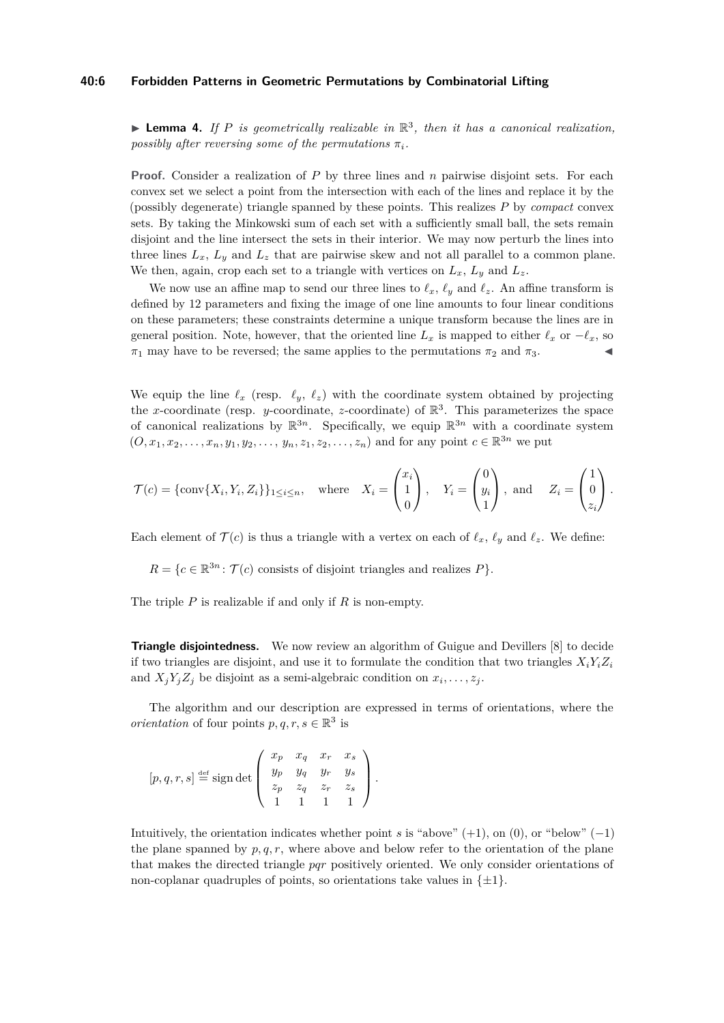#### **40:6 Forbidden Patterns in Geometric Permutations by Combinatorial Lifting**

<span id="page-5-0"></span>**Lemma 4.** If P is geometrically realizable in  $\mathbb{R}^3$ , then it has a canonical realization, *possibly after reversing some of the permutations*  $\pi_i$ *.* 

**Proof.** Consider a realization of *P* by three lines and *n* pairwise disjoint sets. For each convex set we select a point from the intersection with each of the lines and replace it by the (possibly degenerate) triangle spanned by these points. This realizes *P* by *compact* convex sets. By taking the Minkowski sum of each set with a sufficiently small ball, the sets remain disjoint and the line intersect the sets in their interior. We may now perturb the lines into three lines  $L_x$ ,  $L_y$  and  $L_z$  that are pairwise skew and not all parallel to a common plane. We then, again, crop each set to a triangle with vertices on  $L_x$ ,  $L_y$  and  $L_z$ .

We now use an affine map to send our three lines to  $\ell_x$ ,  $\ell_y$  and  $\ell_z$ . An affine transform is defined by 12 parameters and fixing the image of one line amounts to four linear conditions on these parameters; these constraints determine a unique transform because the lines are in general position. Note, however, that the oriented line  $L_x$  is mapped to either  $\ell_x$  or  $-\ell_x$ , so  $\pi_1$  may have to be reversed; the same applies to the permutations  $\pi_2$  and  $\pi_3$ .

We equip the line  $\ell_x$  (resp.  $\ell_y$ ,  $\ell_z$ ) with the coordinate system obtained by projecting the *x*-coordinate (resp. *y*-coordinate, *z*-coordinate) of  $\mathbb{R}^3$ . This parameterizes the space of canonical realizations by  $\mathbb{R}^{3n}$ . Specifically, we equip  $\mathbb{R}^{3n}$  with a coordinate system  $(0, x_1, x_2, \ldots, x_n, y_1, y_2, \ldots, y_n, z_1, z_2, \ldots, z_n)$  and for any point  $c \in \mathbb{R}^{3n}$  we put

$$
\mathcal{T}(c) = \{\text{conv}\{X_i, Y_i, Z_i\}\}_{1 \leq i \leq n}, \quad \text{where} \quad X_i = \begin{pmatrix} x_i \\ 1 \\ 0 \end{pmatrix}, \quad Y_i = \begin{pmatrix} 0 \\ y_i \\ 1 \end{pmatrix}, \text{ and } \quad Z_i = \begin{pmatrix} 1 \\ 0 \\ z_i \end{pmatrix}.
$$

Each element of  $\mathcal{T}(c)$  is thus a triangle with a vertex on each of  $\ell_x$ ,  $\ell_y$  and  $\ell_z$ . We define:

 $R = \{c \in \mathbb{R}^{3n} : \mathcal{T}(c) \text{ consists of disjoint triangles and realizes } P\}.$ 

The triple *P* is realizable if and only if *R* is non-empty.

**Triangle disjointedness.** We now review an algorithm of Guigue and Devillers [\[8\]](#page-14-20) to decide if two triangles are disjoint, and use it to formulate the condition that two triangles  $X_i Y_i Z_i$ and  $X_j Y_j Z_j$  be disjoint as a semi-algebraic condition on  $x_i, \ldots, z_j$ .

The algorithm and our description are expressed in terms of orientations, where the *orientation* of four points  $p, q, r, s \in \mathbb{R}^3$  is

$$
[p, q, r, s] \stackrel{\text{def}}{=} \text{sign} \det \left( \begin{array}{ccc} x_p & x_q & x_r & x_s \\ y_p & y_q & y_r & y_s \\ z_p & z_q & z_r & z_s \\ 1 & 1 & 1 & 1 \end{array} \right).
$$

Intuitively, the orientation indicates whether point *s* is "above" (+1), on (0), or "below" (−1) the plane spanned by  $p, q, r$ , where above and below refer to the orientation of the plane that makes the directed triangle *pqr* positively oriented. We only consider orientations of non-coplanar quadruples of points, so orientations take values in  $\{\pm 1\}$ .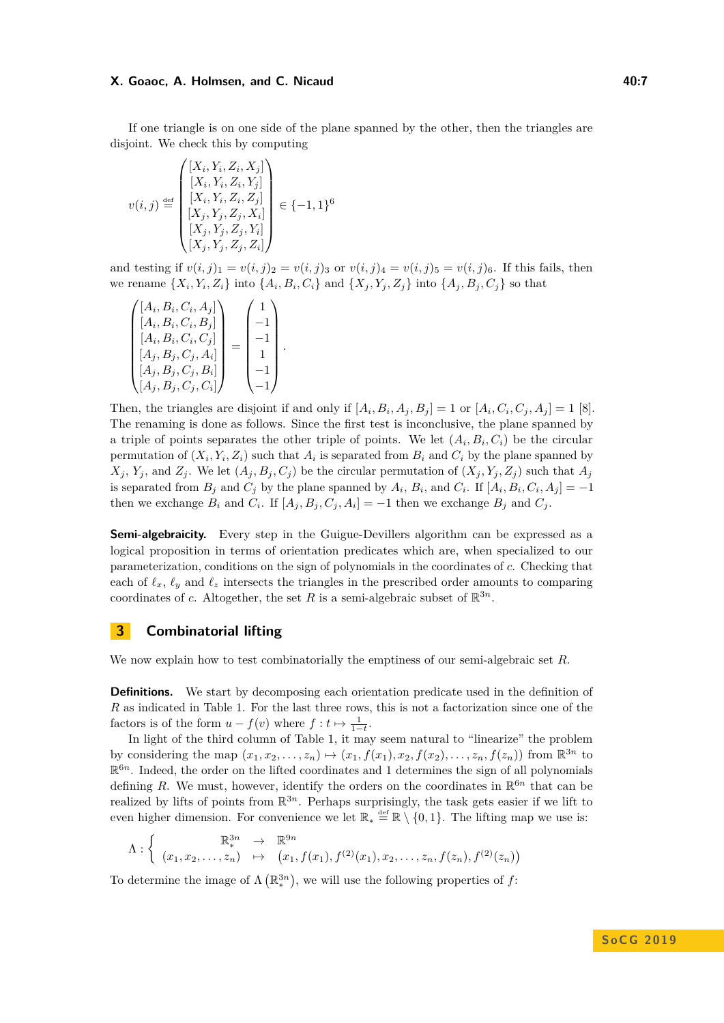#### **X. Goaoc, A. Holmsen, and C. Nicaud 40:7 All and 40:7 40:7 40:7**

If one triangle is on one side of the plane spanned by the other, then the triangles are disjoint. We check this by computing

$$
v(i,j) \stackrel{\text{def}}{=} \begin{pmatrix} [X_i, Y_i, Z_i, X_j] \\ [X_i, Y_i, Z_i, Y_j] \\ [X_i, Y_i, Z_i, Z_j] \\ [X_j, Y_j, Z_j, X_i] \\ [X_j, Y_j, Z_j, Y_i] \\ [X_j, Y_j, Z_j, Z_i] \end{pmatrix} \in \{-1, 1\}^6
$$

and testing if  $v(i, j)_1 = v(i, j)_2 = v(i, j)_3$  or  $v(i, j)_4 = v(i, j)_5 = v(i, j)_6$ . If this fails, then we rename  $\{X_i, Y_i, Z_i\}$  into  $\{A_i, B_i, C_i\}$  and  $\{X_j, Y_j, Z_j\}$  into  $\{A_j, B_j, C_j\}$  so that

$$
\begin{pmatrix}\n[A_i, B_i, C_i, A_j] \\
[A_i, B_i, C_i, B_j] \\
[A_i, B_i, C_i, C_j] \\
[A_j, B_j, C_j, A_i] \\
[A_j, B_j, C_j, B_i] \\
[A_j, B_j, C_j, C_i]\n\end{pmatrix} = \begin{pmatrix}\n1 \\
-1 \\
-1 \\
1 \\
-1\n\end{pmatrix}.
$$

Then, the triangles are disjoint if and only if  $[A_i, B_i, A_j, B_j] = 1$  or  $[A_i, C_i, C_j, A_j] = 1$  [\[8\]](#page-14-20). The renaming is done as follows. Since the first test is inconclusive, the plane spanned by a triple of points separates the other triple of points. We let  $(A_i, B_i, C_i)$  be the circular permutation of  $(X_i, Y_i, Z_i)$  such that  $A_i$  is separated from  $B_i$  and  $C_i$  by the plane spanned by  $X_i, Y_i$  and  $Z_i$ . We let  $(A_i, B_i, C_i)$  be the circular permutation of  $(X_i, Y_i, Z_i)$  such that  $A_i$ is separated from  $B_j$  and  $C_j$  by the plane spanned by  $A_i$ ,  $B_i$ , and  $C_i$ . If  $[A_i, B_i, C_i, A_j] = -1$ then we exchange  $B_i$  and  $C_i$ . If  $[A_j, B_j, C_j, A_i] = -1$  then we exchange  $B_j$  and  $C_j$ .

**Semi-algebraicity.** Every step in the Guigue-Devillers algorithm can be expressed as a logical proposition in terms of orientation predicates which are, when specialized to our parameterization, conditions on the sign of polynomials in the coordinates of *c*. Checking that each of  $\ell_x$ ,  $\ell_y$  and  $\ell_z$  intersects the triangles in the prescribed order amounts to comparing coordinates of *c*. Altogether, the set *R* is a semi-algebraic subset of  $\mathbb{R}^{3n}$ .

# <span id="page-6-0"></span>**3 Combinatorial lifting**

We now explain how to test combinatorially the emptiness of our semi-algebraic set *R*.

**Definitions.** We start by decomposing each orientation predicate used in the definition of *R* as indicated in Table [1.](#page-7-0) For the last three rows, this is not a factorization since one of the factors is of the form  $u - f(v)$  where  $f: t \mapsto \frac{1}{1-t}$ .

In light of the third column of Table [1,](#page-7-0) it may seem natural to "linearize" the problem by considering the map  $(x_1, x_2, \ldots, x_n) \mapsto (x_1, f(x_1), x_2, f(x_2), \ldots, x_n, f(z_n))$  from  $\mathbb{R}^{3n}$  to  $\mathbb{R}^{6n}$ . Indeed, the order on the lifted coordinates and 1 determines the sign of all polynomials defining R. We must, however, identify the orders on the coordinates in  $\mathbb{R}^{6n}$  that can be realized by lifts of points from  $\mathbb{R}^{3n}$ . Perhaps surprisingly, the task gets easier if we lift to even higher dimension. For convenience we let  $\mathbb{R}_* \stackrel{\text{def}}{=} \mathbb{R} \setminus \{0,1\}$ . The lifting map we use is:

$$
\Lambda: \left\{ \begin{array}{rcl} \mathbb{R}^{3n}_{*} & \to & \mathbb{R}^{9n} \\ (x_1, x_2, \ldots, z_n) & \mapsto & (x_1, f(x_1), f^{(2)}(x_1), x_2, \ldots, z_n, f(z_n), f^{(2)}(z_n)) \end{array} \right.
$$

To determine the image of  $\Lambda\left(\mathbb{R}^{3n}_*\right)$ , we will use the following properties of f: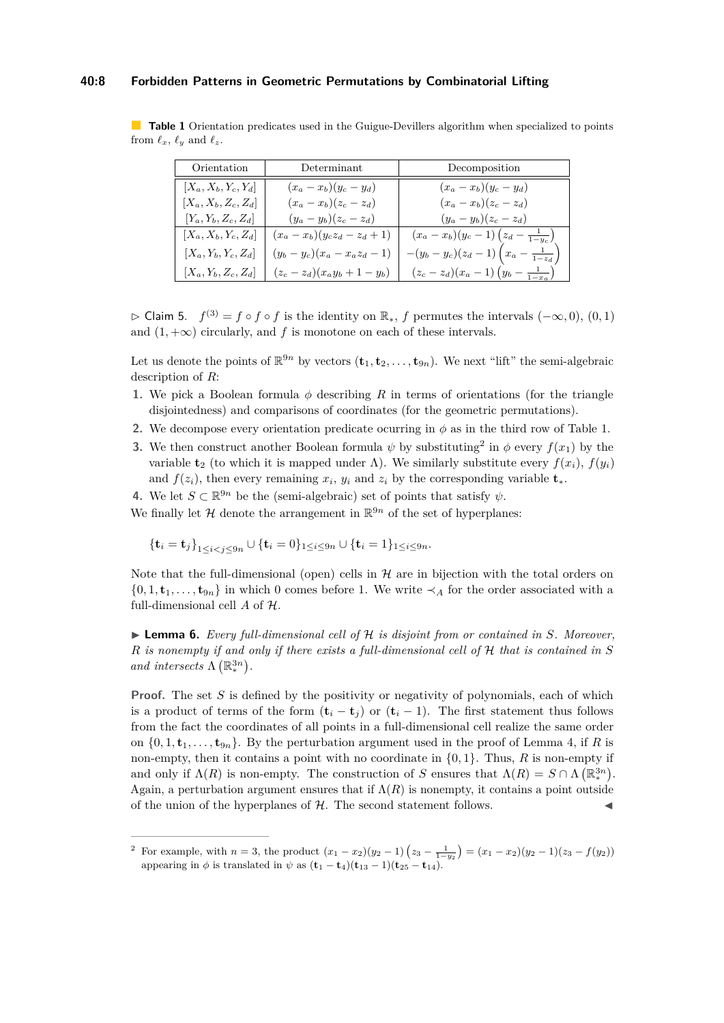#### **40:8 Forbidden Patterns in Geometric Permutations by Combinatorial Lifting**

<span id="page-7-0"></span>**Table 1** Orientation predicates used in the Guigue-Devillers algorithm when specialized to points from  $\ell_x$ ,  $\ell_y$  and  $\ell_z$ .

| Orientation            | Determinant                      | Decomposition                                  |
|------------------------|----------------------------------|------------------------------------------------|
| $[X_a, X_b, Y_c, Y_d]$ | $(x_a - x_b)(y_c - y_d)$         | $(x_a - x_b)(y_c - y_d)$                       |
| $[X_a, X_b, Z_c, Z_d]$ | $(x_a - x_b)(z_c - z_d)$         | $(x_a-x_b)(z_c-z_d)$                           |
| $ Y_a, Y_b, Z_c, Z_d $ | $(y_a - y_b)(z_c - z_d)$         | $(y_a - y_b)(z_c - z_d)$                       |
| $ X_a, X_b, Y_c, Z_d $ | $(x_a - x_b)(y_cz_d - z_d + 1)$  | $(x_a-x_b)(y_c-1)(z_d-\frac{1}{1-y_c})$        |
| $ X_a, Y_b, Y_c, Z_d $ | $(y_b - y_c)(x_a - x_a z_d - 1)$ | $-(y_b - y_c)(z_d - 1)(x_a - \frac{1}{1-z_d})$ |
| $ X_a, Y_b, Z_c, Z_d $ | $(z_c - z_d)(x_a y_b + 1 - y_b)$ | $(z_c - z_d)(x_a - 1)(y_b - \frac{1}{1-x_a})$  |

<span id="page-7-3"></span> $\triangleright$  Claim 5. *f*<sup>(3)</sup> = *f* ◦ *f* ◦ *f* is the identity on  $\mathbb{R}_*$ , *f* permutes the intervals  $(-\infty, 0)$ ,  $(0, 1)$ and  $(1, +\infty)$  circularly, and *f* is monotone on each of these intervals.

Let us denote the points of  $\mathbb{R}^{9n}$  by vectors  $(\mathbf{t}_1, \mathbf{t}_2, \ldots, \mathbf{t}_{9n})$ . We next "lift" the semi-algebraic description of *R*:

- **1.** We pick a Boolean formula *φ* describing *R* in terms of orientations (for the triangle disjointedness) and comparisons of coordinates (for the geometric permutations).
- **2.** We decompose every orientation predicate ocurring in  $\phi$  as in the third row of Table [1.](#page-7-0)
- **3.** We then construct another Boolean formula  $\psi$  by substituting<sup>[2](#page-7-1)</sup> in  $\phi$  every  $f(x_1)$  by the variable **t**<sub>2</sub> (to which it is mapped under  $\Lambda$ ). We similarly substitute every  $f(x_i)$ ,  $f(y_i)$ and  $f(z_i)$ , then every remaining  $x_i$ ,  $y_i$  and  $z_i$  by the corresponding variable  $\mathbf{t}_*$ .
- **4.** We let  $S \subset \mathbb{R}^{9n}$  be the (semi-algebraic) set of points that satisfy  $\psi$ .

We finally let  $\mathcal H$  denote the arrangement in  $\mathbb R^{9n}$  of the set of hyperplanes:

$$
{\bf t}_i={\bf t}_j\}_{1\leq i
$$

Note that the full-dimensional (open) cells in  $H$  are in bijection with the total orders on  $\{0, 1, \mathbf{t}_1, \ldots, \mathbf{t}_{9n}\}\$  in which 0 comes before 1. We write  $\prec_A$  for the order associated with a full-dimensional cell *A* of H.

<span id="page-7-2"></span>I **Lemma 6.** *Every full-dimensional cell of* H *is disjoint from or contained in S. Moreover, R is nonempty if and only if there exists a full-dimensional cell of* H *that is contained in S and intersects*  $\Lambda\left(\mathbb{R}^{3n}_*\right)$ .

**Proof.** The set *S* is defined by the positivity or negativity of polynomials, each of which is a product of terms of the form  $(\mathbf{t}_i - \mathbf{t}_j)$  or  $(\mathbf{t}_i - 1)$ . The first statement thus follows from the fact the coordinates of all points in a full-dimensional cell realize the same order on  $\{0, 1, \mathbf{t}_1, \ldots, \mathbf{t}_{9n}\}$ . By the perturbation argument used in the proof of Lemma [4,](#page-5-0) if *R* is non-empty, then it contains a point with no coordinate in  $\{0, 1\}$ . Thus, *R* is non-empty if and only if  $\Lambda(R)$  is non-empty. The construction of *S* ensures that  $\Lambda(R) = S \cap \Lambda(\mathbb{R}^{3n}_*)$ . Again, a perturbation argument ensures that if  $\Lambda(R)$  is nonempty, it contains a point outside of the union of the hyperplanes of  $H$ . The second statement follows.

<span id="page-7-1"></span><sup>2</sup> For example, with  $n = 3$ , the product  $(x_1 - x_2)(y_2 - 1)(z_3 - \frac{1}{1-y_2}) = (x_1 - x_2)(y_2 - 1)(z_3 - f(y_2))$ appearing in  $\phi$  is translated in  $\psi$  as  $(\mathbf{t}_1 - \mathbf{t}_4)(\mathbf{t}_{13} - 1)(\mathbf{t}_{25} - \mathbf{t}_{14})$ .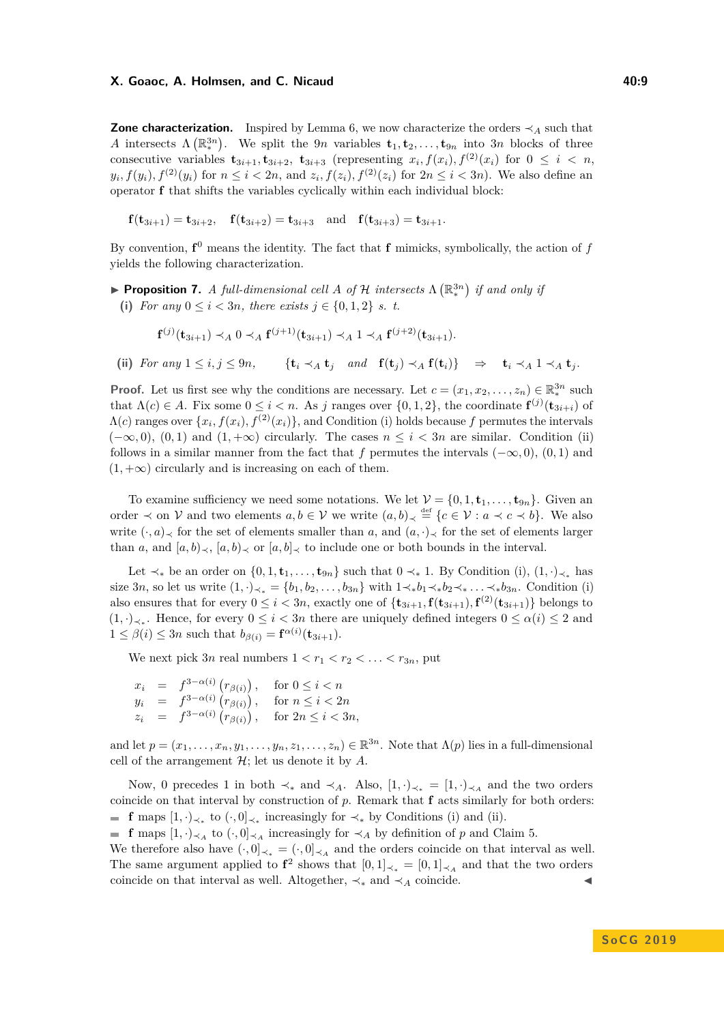#### **X. Goaoc, A. Holmsen, and C. Nicaud 40:9**

**Zone characterization.** Inspired by Lemma [6,](#page-7-2) we now characterize the orders  $\prec$ <sub>*A*</sub> such that *A* intersects  $\Lambda(\mathbb{R}^{3n})$ . We split the 9*n* variables  $\mathbf{t}_1, \mathbf{t}_2, \ldots, \mathbf{t}_{9n}$  into 3*n* blocks of three consecutive variables  $\mathbf{t}_{3i+1}, \mathbf{t}_{3i+2}, \ \mathbf{t}_{3i+3}$  (representing  $x_i, f(x_i), f^{(2)}(x_i)$  for  $0 \leq i \leq n$ ,  $y_i, f(y_i), f^{(2)}(y_i)$  for  $n \leq i < 2n$ , and  $z_i, f(z_i), f^{(2)}(z_i)$  for  $2n \leq i < 3n$ ). We also define an operator **f** that shifts the variables cyclically within each individual block:

$$
f(\mathbf{t}_{3i+1}) = \mathbf{t}_{3i+2}
$$
,  $f(\mathbf{t}_{3i+2}) = \mathbf{t}_{3i+3}$  and  $f(\mathbf{t}_{3i+3}) = \mathbf{t}_{3i+1}$ .

By convention,  $f^0$  means the identity. The fact that  $f$  mimicks, symbolically, the action of  $f$ yields the following characterization.

<span id="page-8-0"></span>**• Proposition 7.** *A full-dimensional cell A of*  $H$  *intersects*  $\Lambda(\mathbb{R}_{*}^{3n})$  *if and only if* (i) *For any*  $0 \le i < 3n$ *, there exists*  $j \in \{0, 1, 2\}$  *s. t.* 

$$
\mathbf{f}^{(j)}(\mathbf{t}_{3i+1}) \prec_A 0 \prec_A \mathbf{f}^{(j+1)}(\mathbf{t}_{3i+1}) \prec_A 1 \prec_A \mathbf{f}^{(j+2)}(\mathbf{t}_{3i+1}).
$$

(ii) For any  $1 \leq i, j \leq 9n$ ,  $\{ \mathbf{t}_i \prec_A \mathbf{t}_j \text{ and } \mathbf{f}(\mathbf{t}_i) \prec_A \mathbf{f}(\mathbf{t}_i) \} \Rightarrow \mathbf{t}_i \prec_A 1 \prec_A \mathbf{t}_j$ .

**Proof.** Let us first see why the conditions are necessary. Let  $c = (x_1, x_2, \ldots, x_n) \in \mathbb{R}_*^{3n}$  such that  $\Lambda(c) \in A$ . Fix some  $0 \leq i < n$ . As *j* ranges over  $\{0, 1, 2\}$ , the coordinate  $f^{(j)}(t_{3i+i})$  of  $\Lambda(c)$  ranges over  $\{x_i, f(x_i), f^{(2)}(x_i)\}$ , and Condition (i) holds because f permutes the intervals  $(-\infty, 0)$ ,  $(0, 1)$  and  $(1, +\infty)$  circularly. The cases  $n \leq i < 3n$  are similar. Condition (ii) follows in a similar manner from the fact that *f* permutes the intervals  $(-\infty, 0)$ ,  $(0, 1)$  and  $(1, +\infty)$  circularly and is increasing on each of them.

To examine sufficiency we need some notations. We let  $\mathcal{V} = \{0, 1, \mathbf{t}_1, \dots, \mathbf{t}_{9n}\}.$  Given an order  $\prec$  on V and two elements  $a, b \in V$  we write  $(a, b)_{\prec} \stackrel{\text{def}}{=} \{c \in V : a \prec c \prec b\}.$  We also write  $(\cdot, a)$ <sub> $\prec$ </sub> for the set of elements smaller than *a*, and  $(a, \cdot)$ <sub> $\prec$ </sub> for the set of elements larger than *a*, and  $[a, b]_{\prec}$ ,  $[a, b]_{\prec}$  or  $[a, b]_{\prec}$  to include one or both bounds in the interval.

Let  $\prec_{*}$  be an order on  $\{0, 1, \mathbf{t}_1, \ldots, \mathbf{t}_{9n}\}$  such that  $0 \prec_{*} 1$ . By Condition (i),  $(1, \cdot)_{\prec_{*}}$  has size 3*n*, so let us write  $(1, \cdot)_{\prec_*} = \{b_1, b_2, \ldots, b_{3n}\}\$  with  $1 \prec_* b_1 \prec_* b_2 \prec_* \ldots \prec_* b_{3n}$ . Condition (i) also ensures that for every  $0 \leq i < 3n$ , exactly one of  $\{\mathbf{t}_{3i+1}, \mathbf{f}(\mathbf{t}_{3i+1}), \mathbf{f}^{(2)}(\mathbf{t}_{3i+1})\}$  belongs to  $(1, \cdot)_{\prec_*}$ . Hence, for every 0 ≤ *i* < 3*n* there are uniquely defined integers 0 ≤ *α*(*i*) ≤ 2 and  $1 \leq \beta(i) \leq 3n$  such that  $b_{\beta(i)} = \mathbf{f}^{\alpha(i)}(\mathbf{t}_{3i+1}).$ 

We next pick  $3n$  real numbers  $1 < r_1 < r_2 < \ldots < r_{3n}$ , put

 $x_i = f^{3-\alpha(i)}(r_{\beta(i)})$ , for  $0 \le i < n$  $y_i = f^{3-\alpha(i)}(r_{\beta(i)})$ , for  $n \le i < 2n$  $z_i = f^{3-\alpha(i)}(r_{\beta(i)})$ , for  $2n \leq i < 3n$ ,

and let  $p = (x_1, \ldots, x_n, y_1, \ldots, y_n, z_1, \ldots, z_n) \in \mathbb{R}^{3n}$ . Note that  $\Lambda(p)$  lies in a full-dimensional cell of the arrangement  $\mathcal{H}$ ; let us denote it by  $A$ .

Now, 0 precedes 1 in both  $\prec_{*}$  and  $\prec_{A}$ . Also,  $[1, \cdot)_{\prec_{*}} = [1, \cdot)_{\prec_{A}}$  and the two orders coincide on that interval by construction of *p*. Remark that **f** acts similarly for both orders: **f** maps  $[1, \cdot)_{\prec_*}$  to  $(\cdot, 0]_{\prec_*}$  increasingly for  $\prec_*$  by Conditions (i) and (ii).

**f** maps  $[1, \cdot)_{\leq A}$  to  $(\cdot, 0]_{\leq A}$  increasingly for  $\leq_A$  by definition of *p* and Claim [5.](#page-7-3)

We therefore also have  $(\cdot, 0]_{\prec_*} = (\cdot, 0]_{\prec_A}$  and the orders coincide on that interval as well. The same argument applied to  $f^2$  shows that  $[0,1]_{\prec_*} = [0,1]_{\prec_A}$  and that the two orders coincide on that interval as well. Altogether,  $\prec_*$  and  $\prec_A$  coincide.

**S o C G 2 0 1 9**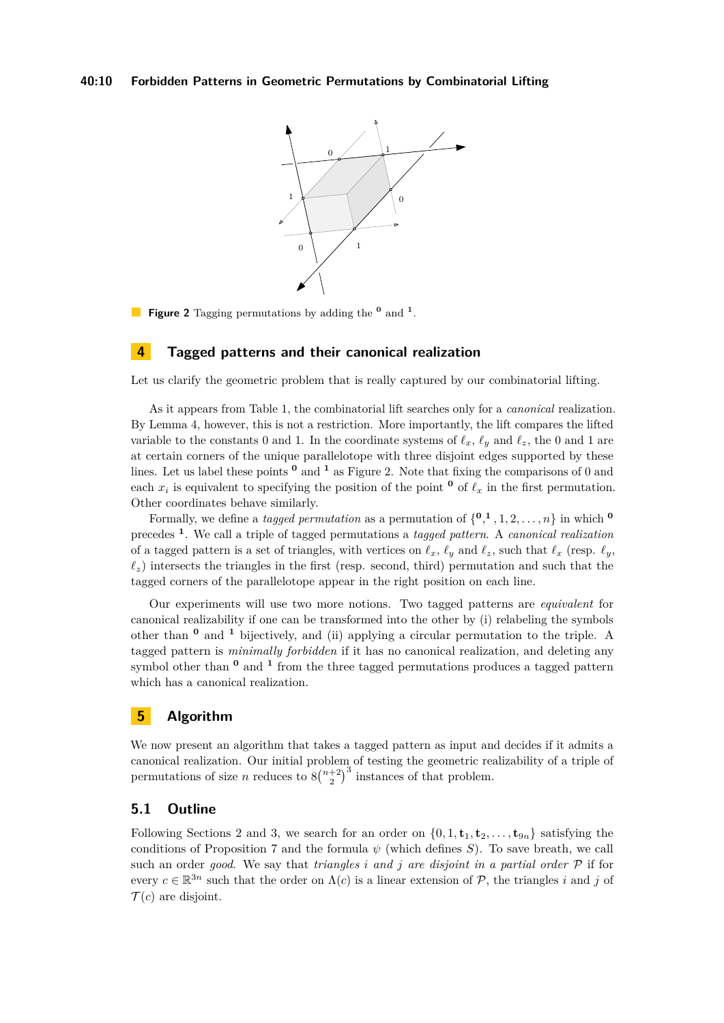<span id="page-9-0"></span>

**Figure 2** Tagging permutations by adding the **<sup>0</sup>** and **<sup>1</sup>** .

## **4 Tagged patterns and their canonical realization**

Let us clarify the geometric problem that is really captured by our combinatorial lifting.

As it appears from Table [1,](#page-7-0) the combinatorial lift searches only for a *canonical* realization. By Lemma [4,](#page-5-0) however, this is not a restriction. More importantly, the lift compares the lifted variable to the constants 0 and 1. In the coordinate systems of  $\ell_x$ ,  $\ell_y$  and  $\ell_z$ , the 0 and 1 are at certain corners of the unique parallelotope with three disjoint edges supported by these lines. Let us label these points **<sup>0</sup>** and **<sup>1</sup>** as Figure [2.](#page-9-0) Note that fixing the comparisons of 0 and each  $x_i$  is equivalent to specifying the position of the point  $\mathbf{0}$  of  $\ell_x$  in the first permutation. Other coordinates behave similarly.

Formally, we define a *tagged permutation* as a permutation of  $\{0, 1, 1, 2, \ldots, n\}$  in which  $\{0, 0, 1, 2, \ldots, n\}$ precedes **<sup>1</sup>** . We call a triple of tagged permutations a *tagged pattern*. A *canonical realization* of a tagged pattern is a set of triangles, with vertices on  $\ell_x$ ,  $\ell_y$  and  $\ell_z$ , such that  $\ell_x$  (resp.  $\ell_y$ ,  $\ell_z$ ) intersects the triangles in the first (resp. second, third) permutation and such that the tagged corners of the parallelotope appear in the right position on each line.

Our experiments will use two more notions. Two tagged patterns are *equivalent* for canonical realizability if one can be transformed into the other by (i) relabeling the symbols other than **<sup>0</sup>** and **<sup>1</sup>** bijectively, and (ii) applying a circular permutation to the triple. A tagged pattern is *minimally forbidden* if it has no canonical realization, and deleting any symbol other than **<sup>0</sup>** and **<sup>1</sup>** from the three tagged permutations produces a tagged pattern which has a canonical realization.

# <span id="page-9-1"></span>**5 Algorithm**

We now present an algorithm that takes a tagged pattern as input and decides if it admits a canonical realization. Our initial problem of testing the geometric realizability of a triple of permutations of size *n* reduces to  $8\binom{n+2}{2}^3$  instances of that problem.

## **5.1 Outline**

Following Sections [2](#page-4-0) and [3,](#page-6-0) we search for an order on  $\{0, 1, \mathbf{t}_1, \mathbf{t}_2, \ldots, \mathbf{t}_{9n}\}\)$  satisfying the conditions of Proposition [7](#page-8-0) and the formula *ψ* (which defines *S*). To save breath, we call such an order *good*. We say that *triangles i and j are disjoint in a partial order* P if for every  $c \in \mathbb{R}^{3n}$  such that the order on  $\Lambda(c)$  is a linear extension of P, the triangles *i* and *j* of  $\mathcal{T}(c)$  are disjoint.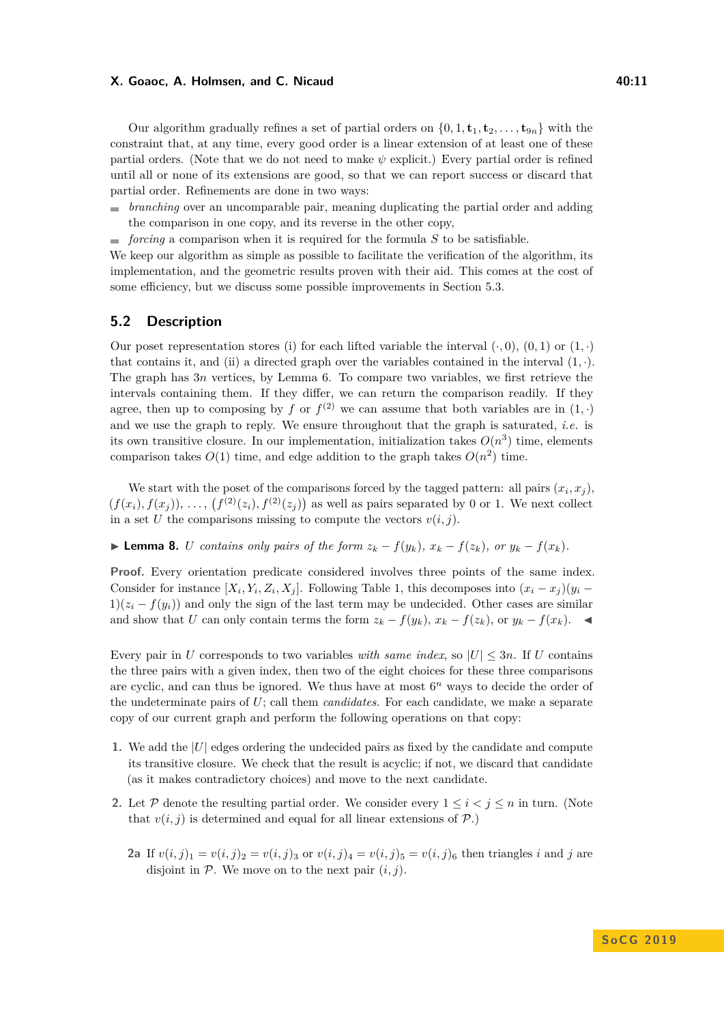#### **X. Goaoc, A. Holmsen, and C. Nicaud 40:11** 40:11

Our algorithm gradually refines a set of partial orders on  $\{0, 1, \mathbf{t}_1, \mathbf{t}_2, \dots, \mathbf{t}_{9n}\}\)$  with the constraint that, at any time, every good order is a linear extension of at least one of these partial orders. (Note that we do not need to make *ψ* explicit.) Every partial order is refined until all or none of its extensions are good, so that we can report success or discard that partial order. Refinements are done in two ways:

- *branching* over an uncomparable pair, meaning duplicating the partial order and adding the comparison in one copy, and its reverse in the other copy,
- *forcing* a comparison when it is required for the formula *S* to be satisfiable.

We keep our algorithm as simple as possible to facilitate the verification of the algorithm, its implementation, and the geometric results proven with their aid. This comes at the cost of some efficiency, but we discuss some possible improvements in Section [5.3.](#page-11-0)

## **5.2 Description**

Our poset representation stores (i) for each lifted variable the interval  $(\cdot, 0)$ ,  $(0, 1)$  or  $(1, \cdot)$ that contains it, and (ii) a directed graph over the variables contained in the interval  $(1, \cdot)$ . The graph has 3*n* vertices, by Lemma [6.](#page-7-2) To compare two variables, we first retrieve the intervals containing them. If they differ, we can return the comparison readily. If they agree, then up to composing by *f* or  $f^{(2)}$  we can assume that both variables are in  $(1, \cdot)$ and we use the graph to reply. We ensure throughout that the graph is saturated, *i.e.* is its own transitive closure. In our implementation, initialization takes  $O(n^3)$  time, elements comparison takes  $O(1)$  time, and edge addition to the graph takes  $O(n^2)$  time.

We start with the poset of the comparisons forced by the tagged pattern: all pairs  $(x_i, x_j)$ ,  $(f(x_i), f(x_j)), \ldots, (f^{(2)}(z_i), f^{(2)}(z_j))$  as well as pairs separated by 0 or 1. We next collect in a set *U* the comparisons missing to compute the vectors  $v(i, j)$ .

**Lemma 8.** U contains only pairs of the form  $z_k - f(y_k)$ ,  $x_k - f(z_k)$ , or  $y_k - f(x_k)$ .

**Proof.** Every orientation predicate considered involves three points of the same index. Consider for instance  $[X_i, Y_i, Z_i, X_j]$ . Following Table [1,](#page-7-0) this decomposes into  $(x_i - x_j)(y_i - y_j)$  $1(x_i - f(y_i))$  and only the sign of the last term may be undecided. Other cases are similar and show that *U* can only contain terms the form  $z_k - f(y_k)$ ,  $x_k - f(z_k)$ , or  $y_k - f(x_k)$ .

Every pair in *U* corresponds to two variables *with same index*, so  $|U| \leq 3n$ . If *U* contains the three pairs with a given index, then two of the eight choices for these three comparisons are cyclic, and can thus be ignored. We thus have at most  $6<sup>n</sup>$  ways to decide the order of the undeterminate pairs of *U*; call them *candidates*. For each candidate, we make a separate copy of our current graph and perform the following operations on that copy:

- **1.** We add the |*U*| edges ordering the undecided pairs as fixed by the candidate and compute its transitive closure. We check that the result is acyclic; if not, we discard that candidate (as it makes contradictory choices) and move to the next candidate.
- **2.** Let P denote the resulting partial order. We consider every  $1 \leq i < j \leq n$  in turn. (Note that  $v(i, j)$  is determined and equal for all linear extensions of  $P$ .)
	- **2a** If  $v(i, j)_1 = v(i, j)_2 = v(i, j)_3$  or  $v(i, j)_4 = v(i, j)_5 = v(i, j)_6$  then triangles *i* and *j* are disjoint in  $P$ . We move on to the next pair  $(i, j)$ .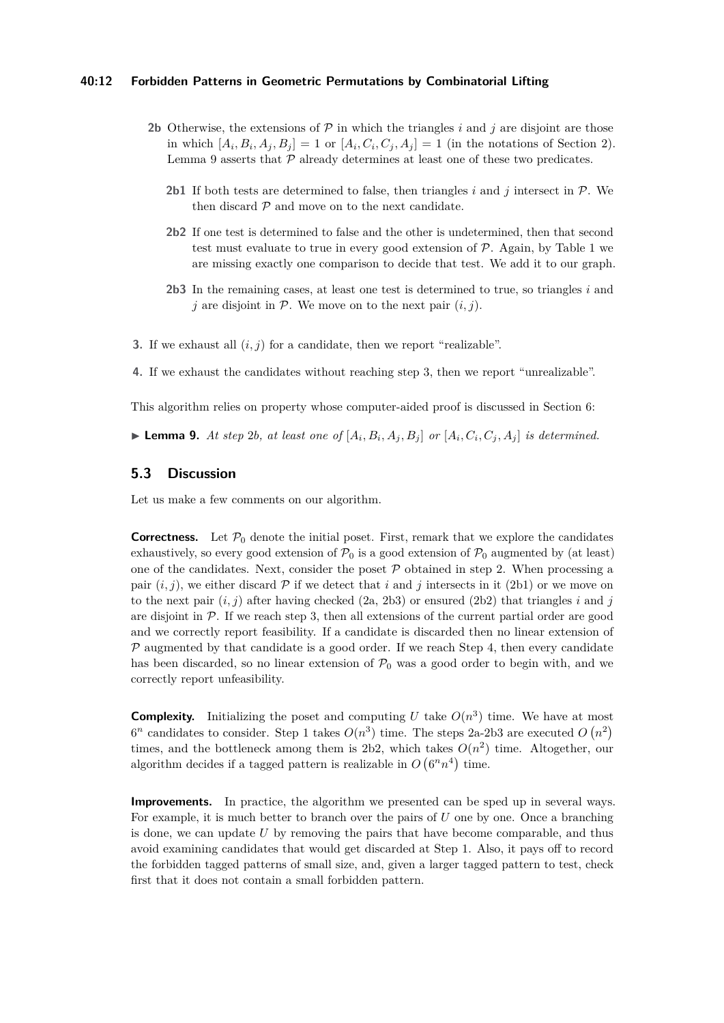#### **40:12 Forbidden Patterns in Geometric Permutations by Combinatorial Lifting**

- **2b** Otherwise, the extensions of  $\mathcal{P}$  in which the triangles *i* and *j* are disjoint are those in which  $[A_i, B_i, A_j, B_j] = 1$  or  $[A_i, C_i, C_j, A_j] = 1$  (in the notations of Section [2\)](#page-4-0). Lemma [9](#page-11-1) asserts that  $P$  already determines at least one of these two predicates.
	- **2b1** If both tests are determined to false, then triangles *i* and *j* intersect in P. We then discard  $P$  and move on to the next candidate.
	- **2b2** If one test is determined to false and the other is undetermined, then that second test must evaluate to true in every good extension of  $P$ . Again, by Table [1](#page-7-0) we are missing exactly one comparison to decide that test. We add it to our graph.
	- **2b3** In the remaining cases, at least one test is determined to true, so triangles *i* and  $j$  are disjoint in  $P$ . We move on to the next pair  $(i, j)$ .
- **3.** If we exhaust all  $(i, j)$  for a candidate, then we report "realizable".
- **4.** If we exhaust the candidates without reaching step 3, then we report "unrealizable".

This algorithm relies on property whose computer-aided proof is discussed in Section [6:](#page-12-1)

<span id="page-11-1"></span>**Lemma 9.** At step 2b, at least one of  $[A_i, B_i, A_j, B_j]$  or  $[A_i, C_i, C_j, A_j]$  is determined.

## <span id="page-11-0"></span>**5.3 Discussion**

Let us make a few comments on our algorithm.

**Correctness.** Let  $\mathcal{P}_0$  denote the initial poset. First, remark that we explore the candidates exhaustively, so every good extension of  $\mathcal{P}_0$  is a good extension of  $\mathcal{P}_0$  augmented by (at least) one of the candidates. Next, consider the poset  $P$  obtained in step 2. When processing a pair  $(i, j)$ , we either discard  $P$  if we detect that i and j intersects in it (2b1) or we move on to the next pair  $(i, j)$  after having checked  $(2a, 2b3)$  or ensured  $(2b2)$  that triangles *i* and *j* are disjoint in  $P$ . If we reach step 3, then all extensions of the current partial order are good and we correctly report feasibility. If a candidate is discarded then no linear extension of  $P$  augmented by that candidate is a good order. If we reach Step 4, then every candidate has been discarded, so no linear extension of  $\mathcal{P}_0$  was a good order to begin with, and we correctly report unfeasibility.

**Complexity.** Initializing the poset and computing U take  $O(n^3)$  time. We have at most  $6^n$  candidates to consider. Step 1 takes  $O(n^3)$  time. The steps 2a-2b3 are executed  $O(n^2)$ times, and the bottleneck among them is 2b2, which takes  $O(n^2)$  time. Altogether, our algorithm decides if a tagged pattern is realizable in  $O(6^n n^4)$  time.

**Improvements.** In practice, the algorithm we presented can be sped up in several ways. For example, it is much better to branch over the pairs of *U* one by one. Once a branching is done, we can update *U* by removing the pairs that have become comparable, and thus avoid examining candidates that would get discarded at Step 1. Also, it pays off to record the forbidden tagged patterns of small size, and, given a larger tagged pattern to test, check first that it does not contain a small forbidden pattern.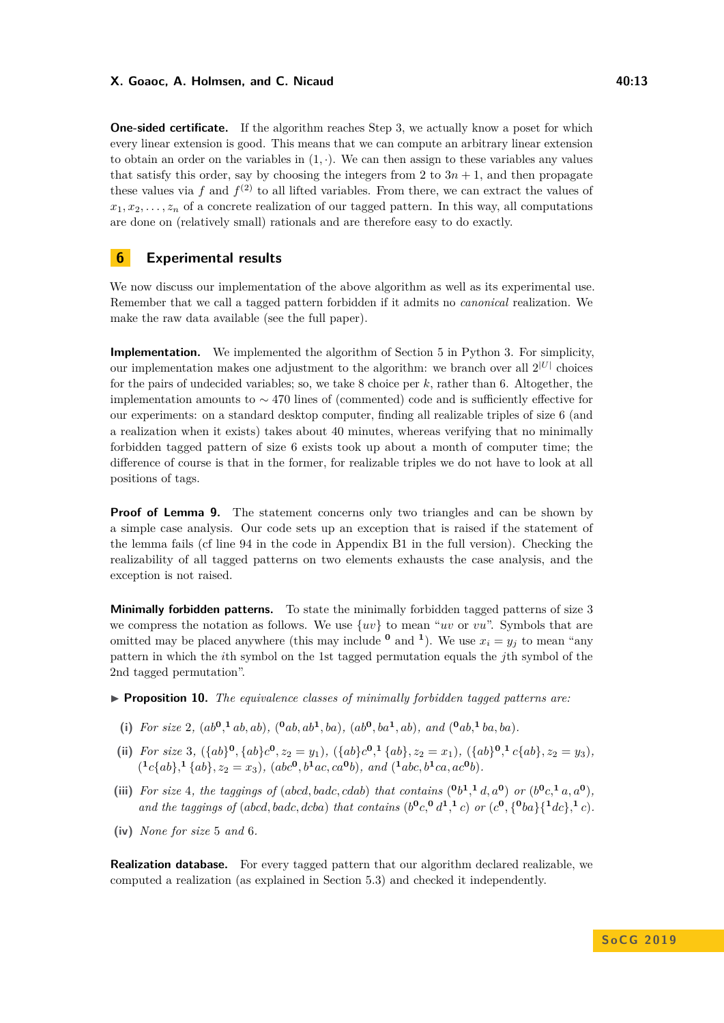#### **X. Goaoc, A. Holmsen, and C. Nicaud 40:13** 40:13

**One-sided certificate.** If the algorithm reaches Step 3, we actually know a poset for which every linear extension is good. This means that we can compute an arbitrary linear extension to obtain an order on the variables in  $(1, \cdot)$ . We can then assign to these variables any values that satisfy this order, say by choosing the integers from 2 to  $3n + 1$ , and then propagate these values via  $f$  and  $f^{(2)}$  to all lifted variables. From there, we can extract the values of  $x_1, x_2, \ldots, x_n$  of a concrete realization of our tagged pattern. In this way, all computations are done on (relatively small) rationals and are therefore easy to do exactly.

# <span id="page-12-1"></span>**6 Experimental results**

We now discuss our implementation of the above algorithm as well as its experimental use. Remember that we call a tagged pattern forbidden if it admits no *canonical* realization. We make the raw data available (see the full paper).

**Implementation.** We implemented the algorithm of Section [5](#page-9-1) in Python 3. For simplicity, our implementation makes one adjustment to the algorithm: we branch over all  $2^{|U|}$  choices for the pairs of undecided variables; so, we take 8 choice per *k*, rather than 6. Altogether, the implementation amounts to ∼ 470 lines of (commented) code and is sufficiently effective for our experiments: on a standard desktop computer, finding all realizable triples of size 6 (and a realization when it exists) takes about 40 minutes, whereas verifying that no minimally forbidden tagged pattern of size 6 exists took up about a month of computer time; the difference of course is that in the former, for realizable triples we do not have to look at all positions of tags.

**Proof of Lemma [9.](#page-11-1)** The statement concerns only two triangles and can be shown by a simple case analysis. Our code sets up an exception that is raised if the statement of the lemma fails (cf line 94 in the code in Appendix B1 in the full version). Checking the realizability of all tagged patterns on two elements exhausts the case analysis, and the exception is not raised.

**Minimally forbidden patterns.** To state the minimally forbidden tagged patterns of size 3 we compress the notation as follows. We use {*uv*} to mean "*uv* or *vu*". Symbols that are omitted may be placed anywhere (this may include  $\mathbf{0}$  and  $\mathbf{1}$ ). We use  $x_i = y_j$  to mean "any pattern in which the *i*th symbol on the 1st tagged permutation equals the *j*th symbol of the 2nd tagged permutation".

- <span id="page-12-0"></span>**Proposition 10.** *The equivalence classes of minimally forbidden tagged patterns are:* 
	- (i) For size 2,  $(ab^0, b, ab)$ ,  $(°ab, ab^1, ba)$ ,  $(ab^0, ba^1, ab)$ , and  $(°ab, b, ab)$ .
- (ii) For size 3,  $({ab}^0, {ab}^0, z_2 = y_1)$ ,  $({ab}^0, {a}^1, {ab}^1, z_2 = x_1)$ ,  $({ab}^0, {a}^1, {c}^1, {ab}^1, z_2 = y_3)$ ,  $({}^{1}c{ab}, {}^{1}{ab}, {}^{2}z = x_3), (abc^{\mathbf{0}}, b^{\mathbf{1}}ac, ca^{\mathbf{0}}b), and ({}^{1}abc, b^{\mathbf{1}}ca, ac^{\mathbf{0}}b).$
- (iii) For size 4, the taggings of (abcd, badc, cdab) that contains  $({}^{0}b^{1},{}^{1}d,a^{0})$  or  $(b^{0}c,{}^{1}a,a^{0})$ , and the taggings of (abcd, badc, dcba) that contains  $(b^0c, ^0d^1, ^1c)$  or  $(c^0, {^0ba}{\{^1dc\}}, ^1c)$ .
- **(iv)** *None for size* 5 *and* 6*.*

**Realization database.** For every tagged pattern that our algorithm declared realizable, we computed a realization (as explained in Section [5.3\)](#page-11-0) and checked it independently.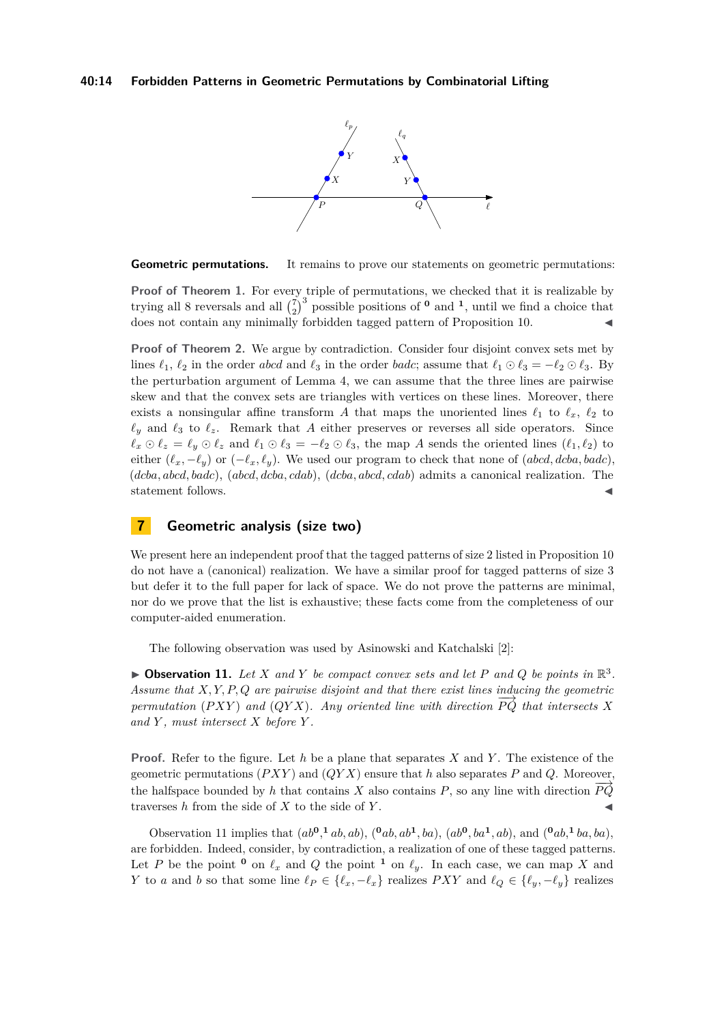#### **40:14 Forbidden Patterns in Geometric Permutations by Combinatorial Lifting**



**Geometric permutations.** It remains to prove our statements on geometric permutations:

**Proof of Theorem [1.](#page-2-1)** For every triple of permutations, we checked that it is realizable by trying all 8 reversals and all  $\binom{7}{2}^3$  possible positions of  $\binom{0}{1}$  and  $\frac{1}{1}$ , until we find a choice that does not contain any minimally forbidden tagged pattern of Proposition [10.](#page-12-0)

**Proof of Theorem [2.](#page-2-2)** We argue by contradiction. Consider four disjoint convex sets met by lines  $\ell_1$ ,  $\ell_2$  in the order *abcd* and  $\ell_3$  in the order *badc*; assume that  $\ell_1 \odot \ell_3 = -\ell_2 \odot \ell_3$ . By the perturbation argument of Lemma [4,](#page-5-0) we can assume that the three lines are pairwise skew and that the convex sets are triangles with vertices on these lines. Moreover, there exists a nonsingular affine transform A that maps the unoriented lines  $\ell_1$  to  $\ell_x$ ,  $\ell_2$  to  $\ell_y$  and  $\ell_3$  to  $\ell_z$ . Remark that *A* either preserves or reverses all side operators. Since  $\ell_x \odot \ell_z = \ell_y \odot \ell_z$  and  $\ell_1 \odot \ell_3 = -\ell_2 \odot \ell_3$ , the map *A* sends the oriented lines ( $\ell_1, \ell_2$ ) to either  $(\ell_x, -\ell_y)$  or  $(-\ell_x, \ell_y)$ . We used our program to check that none of (*abcd, dcba, badc*), (*dcba, abcd, badc*), (*abcd, dcba, cdab*), (*dcba, abcd, cdab*) admits a canonical realization. The statement follows.

# <span id="page-13-0"></span>**7 Geometric analysis (size two)**

We present here an independent proof that the tagged patterns of size 2 listed in Proposition [10](#page-12-0) do not have a (canonical) realization. We have a similar proof for tagged patterns of size 3 but defer it to the full paper for lack of space. We do not prove the patterns are minimal, nor do we prove that the list is exhaustive; these facts come from the completeness of our computer-aided enumeration.

The following observation was used by Asinowski and Katchalski [\[2\]](#page-14-16):

<span id="page-13-1"></span> $\blacktriangleright$  **Observation 11.** Let *X* and *Y* be compact convex sets and let *P* and *Q* be points in  $\mathbb{R}^3$ . *Assume that X, Y, P, Q are pairwise disjoint and that there exist lines inducing the geometric permutation* (*PXY*) *and* (*QYX*)*. Any oriented line with direction*  $\overrightarrow{PQ}$  *that intersects X and Y , must intersect X before Y .*

**Proof.** Refer to the figure. Let *h* be a plane that separates *X* and *Y* . The existence of the geometric permutations (*P XY* ) and (*QY X*) ensure that *h* also separates *P* and *Q*. Moreover, the halfspace bounded by *h* that contains *X* also contains *P*, so any line with direction  $\overrightarrow{PQ}$ traverses  $h$  from the side of  $X$  to the side of  $Y$ .

Observation [11](#page-13-1) implies that  $(ab^0, b, ab), (0ab, ab^1, ba), (ab^0, ba^1, ab),$  and  $(0ab, b, ba^1, ba),$ are forbidden. Indeed, consider, by contradiction, a realization of one of these tagged patterns. Let *P* be the point <sup>0</sup> on  $\ell_x$  and *Q* the point <sup>1</sup> on  $\ell_y$ . In each case, we can map *X* and *Y* to *a* and *b* so that some line  $\ell_P \in \{\ell_x, -\ell_x\}$  realizes *PXY* and  $\ell_Q \in \{\ell_y, -\ell_y\}$  realizes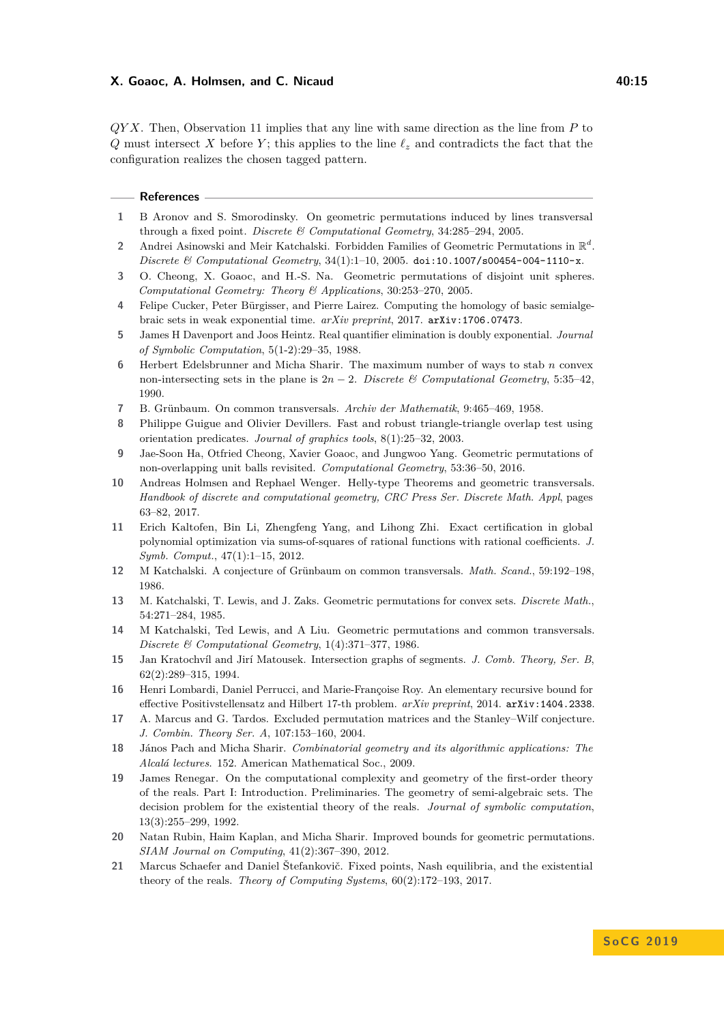#### **X. Goaoc, A. Holmsen, and C. Nicaud 40:15 10:15 10:15**

*QY X*. Then, Observation [11](#page-13-1) implies that any line with same direction as the line from *P* to *Q* must intersect *X* before *Y*; this applies to the line  $\ell_z$  and contradicts the fact that the configuration realizes the chosen tagged pattern.

#### **References**

- <span id="page-14-18"></span>**1** B Aronov and S. Smorodinsky. On geometric permutations induced by lines transversal through a fixed point. *Discrete & Computational Geometry*, 34:285–294, 2005.
- <span id="page-14-16"></span>2 Andrei Asinowski and Meir Katchalski. Forbidden Families of Geometric Permutations in  $\mathbb{R}^d$ . *Discrete & Computational Geometry*, 34(1):1–10, 2005. [doi:10.1007/s00454-004-1110-x](http://dx.doi.org/10.1007/s00454-004-1110-x).
- <span id="page-14-17"></span>**3** O. Cheong, X. Goaoc, and H.-S. Na. Geometric permutations of disjoint unit spheres. *Computational Geometry: Theory & Applications*, 30:253–270, 2005.
- <span id="page-14-13"></span>**4** Felipe Cucker, Peter Bürgisser, and Pierre Lairez. Computing the homology of basic semialgebraic sets in weak exponential time. *arXiv preprint*, 2017. [arXiv:1706.07473](http://arxiv.org/abs/1706.07473).
- <span id="page-14-10"></span>**5** James H Davenport and Joos Heintz. Real quantifier elimination is doubly exponential. *Journal of Symbolic Computation*, 5(1-2):29–35, 1988.
- <span id="page-14-6"></span>**6** Herbert Edelsbrunner and Micha Sharir. The maximum number of ways to stab *n* convex non-intersecting sets in the plane is  $2n - 2$ . *Discrete & Computational Geometry*, 5:35–42, 1990.
- <span id="page-14-0"></span>**7** B. Grünbaum. On common transversals. *Archiv der Mathematik*, 9:465–469, 1958.
- <span id="page-14-20"></span>**8** Philippe Guigue and Olivier Devillers. Fast and robust triangle-triangle overlap test using orientation predicates. *Journal of graphics tools*, 8(1):25–32, 2003.
- <span id="page-14-14"></span>**9** Jae-Soon Ha, Otfried Cheong, Xavier Goaoc, and Jungwoo Yang. Geometric permutations of non-overlapping unit balls revisited. *Computational Geometry*, 53:36–50, 2016.
- <span id="page-14-4"></span>**10** Andreas Holmsen and Rephael Wenger. Helly-type Theorems and geometric transversals. *Handbook of discrete and computational geometry, CRC Press Ser. Discrete Math. Appl*, pages 63–82, 2017.
- <span id="page-14-12"></span>**11** Erich Kaltofen, Bin Li, Zhengfeng Yang, and Lihong Zhi. Exact certification in global polynomial optimization via sums-of-squares of rational functions with rational coefficients. *J. Symb. Comput.*, 47(1):1–15, 2012.
- <span id="page-14-3"></span>**12** M Katchalski. A conjecture of Grünbaum on common transversals. *Math. Scand.*, 59:192–198, 1986.
- <span id="page-14-1"></span>**13** M. Katchalski, T. Lewis, and J. Zaks. Geometric permutations for convex sets. *Discrete Math.*, 54:271–284, 1985.
- <span id="page-14-2"></span>**14** M Katchalski, Ted Lewis, and A Liu. Geometric permutations and common transversals. *Discrete & Computational Geometry*, 1(4):371–377, 1986.
- <span id="page-14-8"></span>**15** Jan Kratochvíl and Jirí Matousek. Intersection graphs of segments. *J. Comb. Theory, Ser. B*, 62(2):289–315, 1994.
- <span id="page-14-11"></span>**16** Henri Lombardi, Daniel Perrucci, and Marie-Françoise Roy. An elementary recursive bound for effective Positivstellensatz and Hilbert 17-th problem. *arXiv preprint*, 2014. [arXiv:1404.2338](http://arxiv.org/abs/1404.2338).
- <span id="page-14-19"></span>**17** A. Marcus and G. Tardos. Excluded permutation matrices and the Stanley–Wilf conjecture. *J. Combin. Theory Ser. A*, 107:153–160, 2004.
- <span id="page-14-5"></span>**18** János Pach and Micha Sharir. *Combinatorial geometry and its algorithmic applications: The Alcalá lectures*. 152. American Mathematical Soc., 2009.
- <span id="page-14-9"></span>**19** James Renegar. On the computational complexity and geometry of the first-order theory of the reals. Part I: Introduction. Preliminaries. The geometry of semi-algebraic sets. The decision problem for the existential theory of the reals. *Journal of symbolic computation*, 13(3):255–299, 1992.
- <span id="page-14-7"></span>**20** Natan Rubin, Haim Kaplan, and Micha Sharir. Improved bounds for geometric permutations. *SIAM Journal on Computing*, 41(2):367–390, 2012.
- <span id="page-14-15"></span>**21** Marcus Schaefer and Daniel Štefankovič. Fixed points, Nash equilibria, and the existential theory of the reals. *Theory of Computing Systems*, 60(2):172–193, 2017.